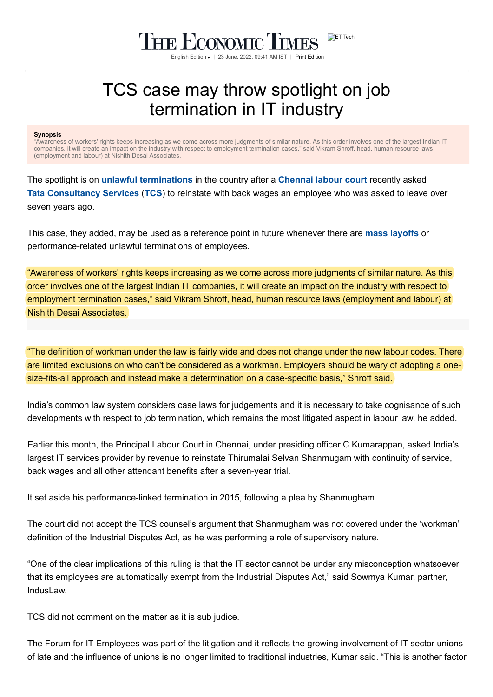## THE ECONOMIC TIMES English Edition • | 23 June, 2022, 09:41 AM IST | [Print Edition](https://economictimes.indiatimes.com/printhome.cms)

## TCS case may throw spotlight on job termination in IT industry

## **Synopsis**

"Awareness of workers' rights keeps increasing as we come across more judgments of similar nature. As this order involves one of the largest Indian IT companies, it will create an impact on the industry with respect to employment termination cases," said Vikram Shroff, head, human resource laws (employment and labour) at Nishith Desai Associates.

The spotlight is on **[unlawful terminations](https://economictimes.indiatimes.com/topic/unlawful-terminations)** in the country after a **[Chennai labour court](https://economictimes.indiatimes.com/topic/chennai-labour-court)** recently asked [Tata Consultancy Services](https://economictimes.indiatimes.com/tata-consultancy-services-ltd/stocks/companyid-8345.cms) ([TCS](https://economictimes.indiatimes.com/tata-consultancy-services-ltd/stocks/companyid-8345.cms)) to reinstate with back wages an employee who was asked to leave over seven years ago.

This case, they added, may be used as a reference point in future whenever there are **[mass layoffs](https://economictimes.indiatimes.com/topic/mass-layoffs)** or performance-related unlawful terminations of employees.

"Awareness of workers' rights keeps increasing as we come across more judgments of similar nature. As this order involves one of the largest Indian IT companies, it will create an impact on the industry with respect to employment termination cases," said Vikram Shroff, head, human resource laws (employment and labour) at Nishith Desai Associates.

"The definition of workman under the law is fairly wide and does not change under the new labour codes. There are limited exclusions on who can't be considered as a workman. Employers should be wary of adopting a onesize-fits-all approach and instead make a determination on a case-specific basis," Shroff said.

India's common law system considers case laws for judgements and it is necessary to take cognisance of such developments with respect to job termination, which remains the most litigated aspect in labour law, he added.

Earlier this month, the Principal Labour Court in Chennai, under presiding officer C Kumarappan, asked India's largest IT services provider by revenue to reinstate Thirumalai Selvan Shanmugam with continuity of service, back wages and all other attendant benefits after a seven-year trial.

It set aside his performance-linked termination in 2015, following a plea by Shanmugham.

The court did not accept the TCS counsel's argument that Shanmugham was not covered under the 'workman' definition of the Industrial Disputes Act, as he was performing a role of supervisory nature.

"One of the clear implications of this ruling is that the IT sector cannot be under any misconception whatsoever that its employees are automatically exempt from the Industrial Disputes Act," said Sowmya Kumar, partner, IndusLaw.

TCS did not comment on the matter as it is sub judice.

The Forum for IT Employees was part of the litigation and it reflects the growing involvement of IT sector unions of late and the influence of unions is no longer limited to traditional industries, Kumar said. "This is another factor